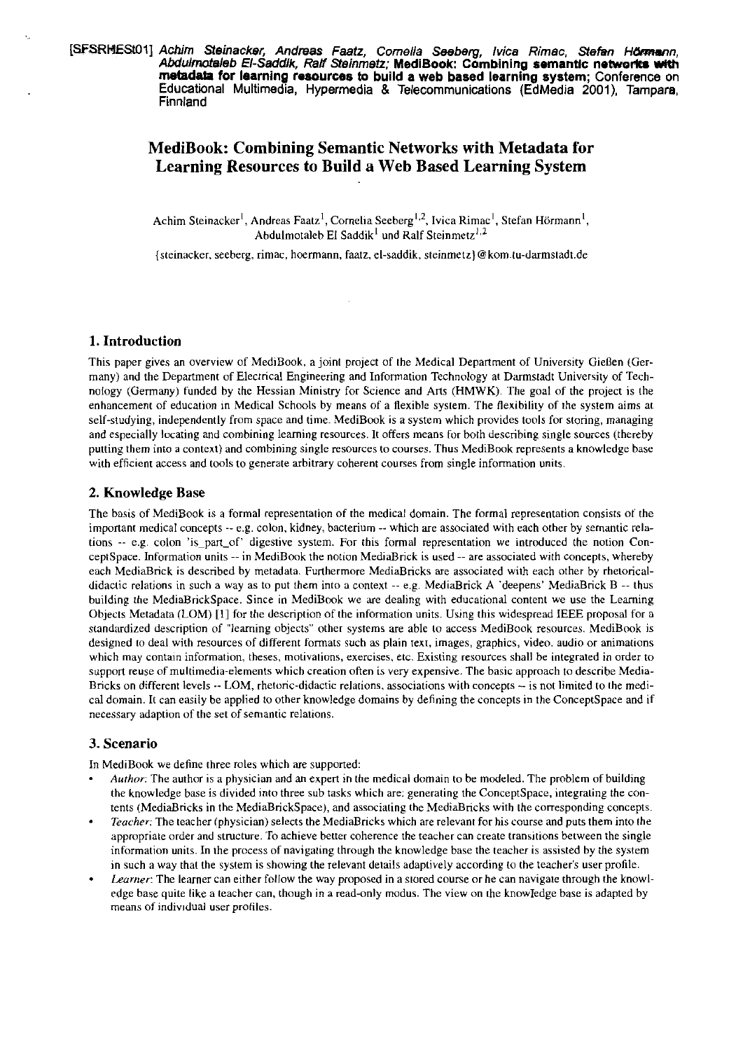# **MediBook: Combining Semantic Networks with Metadata for Learning Resources to Build a Web Based Learning System**

Achim Steinacker<sup>1</sup>, Andreas Faatz<sup>1</sup>, Cornelia Seeberg<sup>1,2</sup>, Ivica Rimac<sup>1</sup>, Stefan Hörmann<sup>1</sup>, Abdulmotaleb El Saddik<sup>1</sup> und Ralf Steinmetz<sup>1,2</sup>

{steinacker, seeberg, rimac, hoermann, faatz, el-saddik, steinmetz}@kom.tu-darmstadt.de

 $\hat{\mathcal{A}}$ 

# **1. Introduction**

This paper gives an overview of MediBook, a joint project of the Medical Department of University Gießen (Germany) and the Department of Electrical Engineering and Information Technology at Darmstadt University of Technology (üermany) funded by the Hessian Ministry for Science and Arts (HMWK). The goal of the project is the enhancement of education in Medical Schools by means of a flexible system. The flexibiliry of ihe system aims at self-studying, independently from space and time. MediBook is a system which provides tools for storing, managing and especially locating and combining learning resources. It offers means for both describing single sources (thereby purting them into a context) and combining single resources to courses. Thus MediBook represents a knowledge base with efficient access and tools to generate arbitrary coherent courses from single information units.

# **2. Knowledge Base**

The basis of MediBook is a formal representation of the medical domain. The formal representation consists of the important medical concepts -- e.g. colon, kidney, bacterium -- which are associated with each other by semantic relations -- e.g. colon 'is-pan-of' digestive system. For this formal representation we introduced the notion Conceptspace. Information units --in MediBook the notion MediaBnck is used -- are associated with concepts, whereby each MediaBnck is described by metadata. Furtherrnore MediaBricks are associated with each other by rhetoncaldidactic relations in such a way as to put them into a context  $-e.g.$  MediaBrick A 'deepens' MediaBrick B  $-e$  thus building the MediaBrickSpace. Since in MediBook we ue dealing with educational content we use the Learning Objects Metadata (LOM) [1] for the description of the information units. Using this widespread IEEE proposal for a standardized description of "learning objects" other systems are able to access MediBook resources. MediBook is designed to deal with resources of different formats such as plain text, images, graphics, video. audio or animations which may contain information, theses, motivations, exercises, etc. Existing resources shall be integrated in order to support reuse of multimedia-elements which creation often is very expensive. The basic approach to describe Media-Bricks on different levels  $-$  LOM, rhetoric-didactic relations, associations with concepts  $-$  is not limited to the medical domain. It can easily be applied to other knowledge domains by defining the concepts in the ConceptSpace and if necessary adaption of the set of semantic relations.

### **3. Scenario**

In MediBook we define three roles which are supported:

- **Aurhnr:** The author is a physician and an expert in the medical domain to be modeled. The problem of building the knowledge base is divided into three sub tasks which are: generating the ConceptSpace, integrating the contents (MediaBricks in the MediaBnckSpace). and associating the MediaBricks with the corresponding concepts.
- Teacher: The teacher (physician) selects the MediaBricks which are relevant for his course and puts them into the appropriate order and structure. To achieve better coherence the teacher can create transitions between the single information units. In the process of navigating through the knowledge base the teacher is assisted hy the system in such a way that the system is showing the relevant details adaptively according to the teacher's user profile.
- Learner: The learner can either follow the way proposed in a stored course or he can navigate through the knowlcdge base quite like a teacher can, though in a read-only modus. The view an rhe knowledge base is adapted by means of individual user profiles.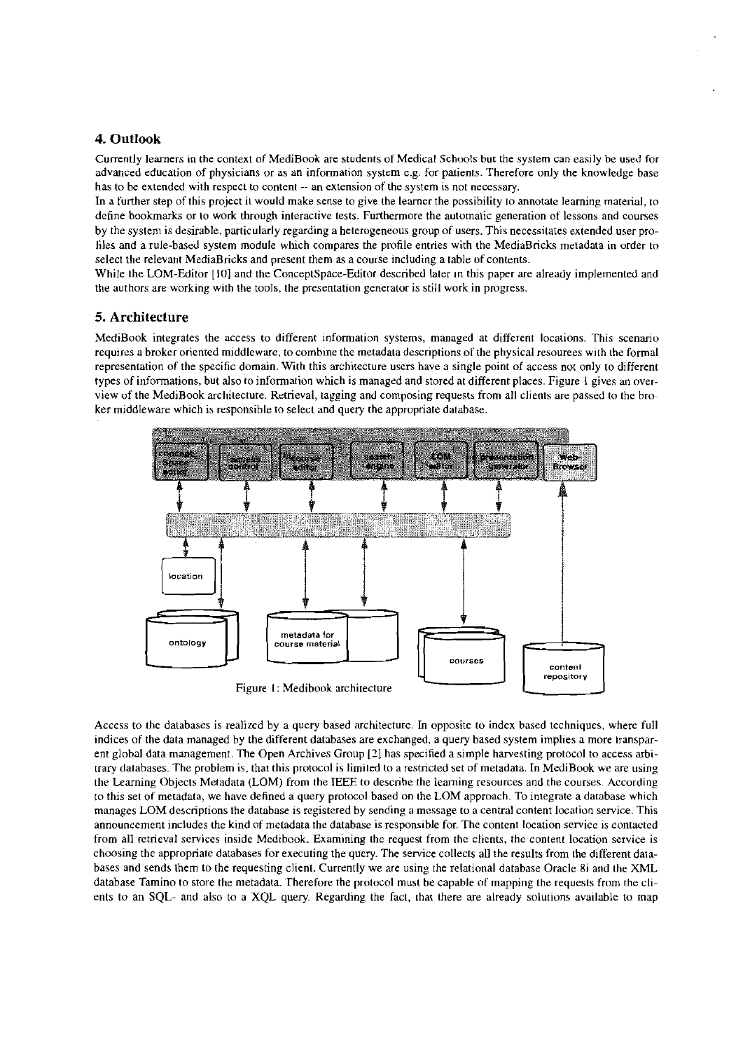# **4. Outlook**

Currently learners in the context of MediBook are students of Medical Schools but the system can easily be used for advanced education of physicians or as an information system e.g. for patients. Therefore only the knowledge base has to be extended with respect to content -- an extension of the system is not necessary.

In a further step of this project it would make sense to give the learner the possibility to annotate learning material, to define bookmarks or to work through interactive tests. Furthermore the automatic generation of lessons and courses hy the systeni is desirable, particularly regarding a hcterugeneous group of users. This necessitates extended User prohiles and a rule-based system module which compares the profile entries with the MediaBricks metadata in order to select the relevant MediaBricks and present them as a course including a table of contents.

While the LOM-Editor [10] and the ConceptSpace-Editor described later in this paper are already implemented and the authors are working with the tools, the presentation generator is still work in progress.

### **5. Architecture**

MediBook integrates the access to different information systems, managed at different locations. This scenario requires a broker oriented middleware, to combine the metadata descriptions of the physical resourees with the formal representation of the specific domain. With this architecture users have a single point of access nor only to different types of informations, but also to information which is managed and stored at different places. Figure 1 gives an overview of the MediBook architecture. Retrieval, tagging and composing requests from all clients are passed to the broker middleware which is responsible to select and query the appropriate database.



Figure I: Medihook architecture

Access to the datahases is realized by a query hased architecture. In opposite to index based techniques, wherc full indices of the data managed by the different databases are exchanged, a query based system implies a more iransparent global data management. The Open Archives Group *[I]* has specified a simple harvesting protocol to access arbitrary databases. The problem is, that this protocol is limited to a restricted set of metadata. In MediBook we are using the Leaming Ohjects Metadata (LOM) hom the IEEE to describe the leaming resources and the Courses. According to this set of metadata, we have defined a query protocol based on the LOM approach. To integrate a database which manages LOM descriptions the database is registered by sending a message to a central content location service. This announcement includes the kind of metadata the datahase is responsihle for. The content location service is contacted from all retrieval services inside Medibook. Examining the request from the clients. the conient location service is choosing the appropriate datahases for executing the query. The service collects all the results from the different datnhases and sends them to the requesting client. Currently we are using the rclational datahase Oracle 8i and the XML database Tamino to store the metadata. Therefore the protocol must be capable of mapping the requests from the clients to an **SQL-** and also to a XQL query. Regarding the Fact. ihat there are already solutions availahle to map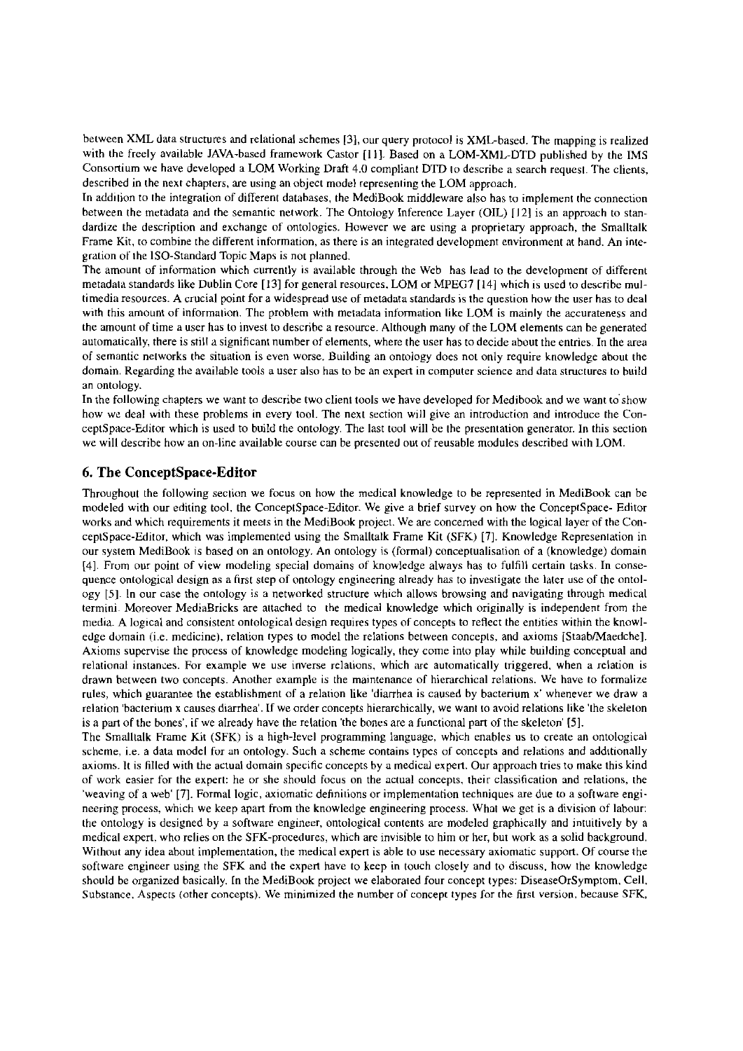between XML data structures and relational schemes [31, our query protocol is XML-based. The mapping is realized with the freely available JAVA-based framework Castor [11]. Based on a LOM-XML-DTD published by the IMS Consortium we have developed a LOM Working Draft 4.0 compliant DTD io describe a search requesi. The clients, described in the next chapters. are using an object model represeniing the LOM approach.

In addiiion to the integration of different databases, the MediBook middleware also has to implement the connection between the metadata and the semantic network. The Ontology Inference Layer (OIL) [12] is an approach to standardize the description and exchange of ontologies. However we are using a proprietary approach, the Smalltalk Frame Kit. to combine the different information, as there is an integrated development environment at hand. An integration of the 1SO-Standard Topic Maps is not planned.

The amount of information which currently is available through the Web has lead to the developrnent of different metadata standards like Dublin Core [I31 for general resources. LOM or MPEG7 [I41 which is used to describe multimedia resources. A crucial point for a widespread use of metadata standards is the question how the user has to deal with this amount of informaiion. The problem with metadata information like LOM is mainly the accurateness and the amount of time a User has to invest to describe a resource. Although many of the LOM elements can be generated automaiically, there is still a significant number of elements, where the User has to decide about the entries. In the area of semantic neiworks the situation is even worse. Building an ontology does not only require knowledge about the domain. Regarding the available tools a user also has to be an expert in computer science and data structures to build an ontology.

In the following chapters we want to describe two client tools we have developed for Medibook and we want to show how we deal with these problems in every tool. The next section will give an introduction and introduce the Conceptspace-Editor which is used to build the ontology. The last tool will be Ihe presentation generator. In this section we will describe how an on-line available course can be presented out of reusable modules described with LOM.

# **6. The ConceptSpace-Editor**

Throughout the following seciion we focus on how the medical knowledge to be represented in MediBook can be modeled with our editing tool, the ConceptSpace-Editor. We give a brief survey on how the ConceptSpace- Editor works and which requirements it meeis in the MediBook project. We are concerned with the logical layer of the Conceptspace-Editor, which was implemented using the Smalltalk Frame Kit (SFK) [7]. Knowledge Represeniation in our System MediBook is based on an ontology. An ontology is (formal) conceptualisation of a (knowledge) domain (41. From our point of view modeling special domains of knowledge always has to fulfill certain tasks. In consequence ontological design as a hrst step of ontology engineering already has to investigate the later use of the ontology (51. In our case the ontology is a networked structure which allows browsing and navigating through medical termini Moreover MediaBricks are attached to ihe medical knowledge which originally is independent from the media. A logical and consistent ontolopical design requires types **of** concepts to reflect the entities within the knowledge domain (i.e. medicine). relation types to model the relations between concepis, and axioms [Staab/Maedche]. Axioms supervise the process of knowledge modeling logically. they come into play while building conceptual and relational instances. For example we use inverse relations. which we automatically triggered. when a relation is drawn between two concepts. Another example is the malntenance of hierarchical relations. We have to formulize rules, which guarantee the establishment of a relation like 'diarrhea is caused by bacterium x' whenever we draw a relation 'hacterium X causes diarrhea'. If we order concepts hierarchically. we wani to avoid relations like 'the skeleton is a pan of the bones', if we already have the relation 'the bones are a functional pan of the skeleton' [5].

The Smalltalk Frame Kit (SFK) is a high-level programming language, which enables us to create an ontological scheme, i.e. a data model for an ontology. Such a scheme contains types of concepts and relations and additionally axioms. It is filled with the actual domain specific concepts by a medical expert. Our approach tries to make this kind of work easier for the expert: he or she should focus on the actual conceprs. their classification and relations, rhe 'weaving of a web' [7]. Formal logic, axiomatic dehnitions or implementation techniques are due to a software engineering process, which we keep apart from the knowledge engineering process. What we get is a division of labour: the ontology is designed by **a** software engineer, ontological contents are modeled graphically and intuitively by a medical expert. who relies on the SFK-procedures, which are invisible to him or her, but work as a solid background. Without any idea about implementation, the medical expen is able to use necessary axiomatic support. Of course the software engineer using the SFK and the expert have to keep in touch closely and to discuss, how the knowledge should be organized basically. In the MediBook project we elaboraied four concept types: DiseaseOrSymptom, Cell, Substance. Aspects (other concepts). We minimized the number of concept types for the first version, because SFK,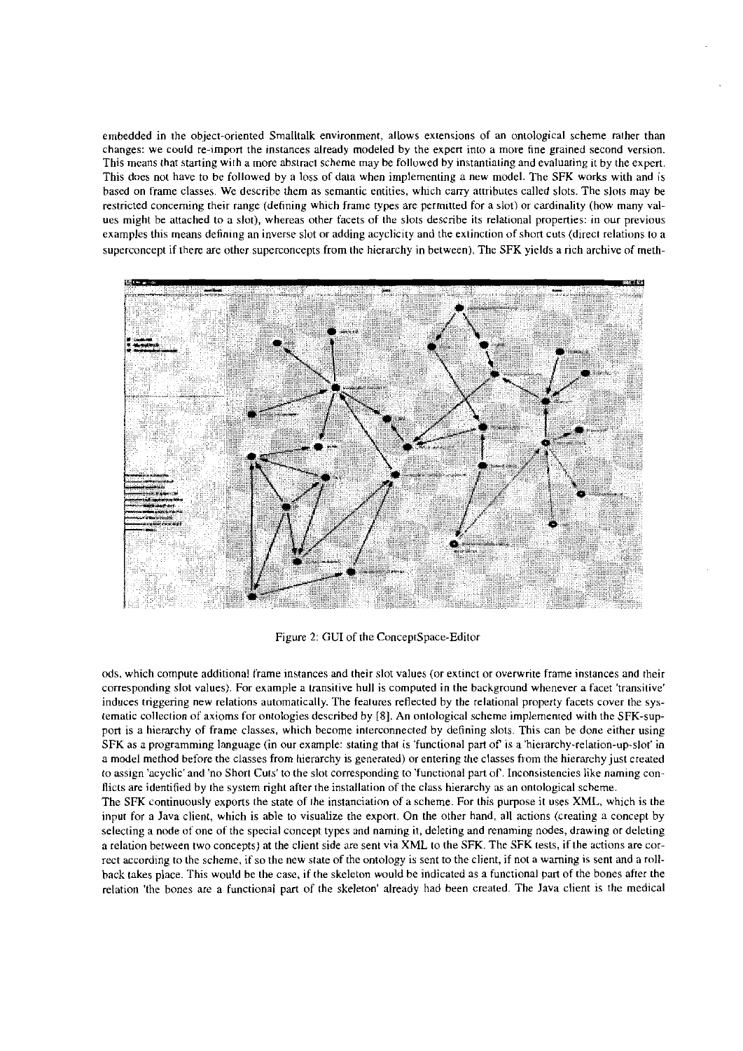embedded in the object-oriented Smalltalk environment, allows extensions of an oniological scheme raiher than changes: we could re-import the instances already modeled by the expert into a more fine grained second version. This means that starting with a more abstraci scheme may be folluwed by instantiating and evaluating it by the expert. This does not have to be followed by a loss of data when implementing a new model. The SFK works with and is based on frame classes. We describe them as semantic entities, which carry attributes called slots. The slots may be restricted concerning their range (defining which frame types are permitted for a slot) or cardinality (how many values might he attached to a slor), whereas other facets of the slots descnbe its relational propenies: in our previous examples this means defining an inverse slot or adding acyclicity and the exiinction of short cuts (direct relations to a superconcept if there are other superconcepts from the hierarchy in between). The SFK yields a rich archive of meth-



Figure 2: GUI of the ConceptSpace-Editor

ods, which compute additional Frame instances and rheir slot values (or extinct or overwrite frame instances and their corresponding slot values). For example a transitive hull is computed in the background whenever a facet 'transitive' induces triggering new relations automatically. The features reflected by the relational property facets cover the systematic collection of axioms for ontologies described by [8]. An oniological scheme implemented with the SFK-support is a hierarchy of frame classes, which become interconnected by defining slots. This can be done either using SFK as a programming language (in our example: stating thai is 'functional part of is a 'hierarchy-relation-up-slol' in a model method before the classes from hierarchy is generated) or entering the classes from the hierarchy jusl created to assign 'acyclic'and 'no Shori Cuis' to the slot corresponding to 'functional pan of. Inconsistencies like naming conflicts are identified by the system right after the installation of the class hierarchy **as** an ontological scheme.

The SFK continuously exports the state of the instanciation of a scheme. For this purpose it uses XML, which is the input for a Java client, which is able to visualize the export. On the other hand, all actions (creating a concept by selecting a node of one of the special concept types and naming it, deleting and renaming nodes, drawing or deleting a relation between two concepts) at the client side **are** sent via **XML** to the SFK. The SFK tests, if the actions are correct according to the scheme, if so the new state of the ontology is sent to the client, if not a warning is sent and a rollback takes place. This would be the case, if the skeleton would be indicated as a functional parl of the bones after the relation 'the bones are a functional part of the skeleton' already had been creatcd. The lava client is the medical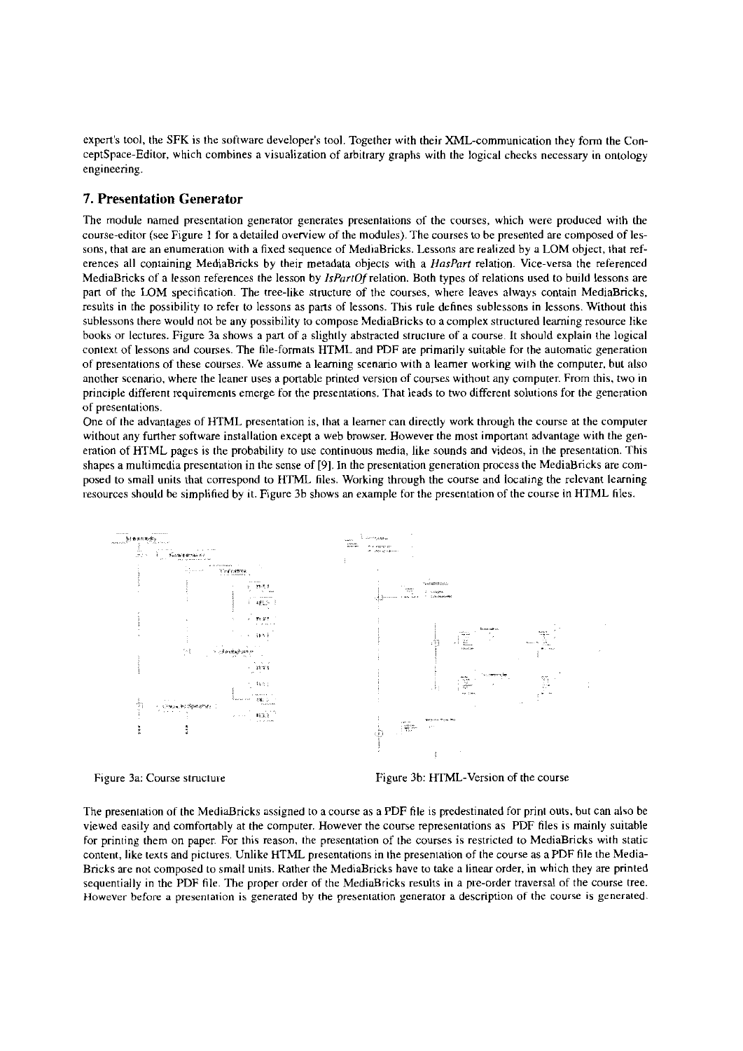expert's tool, the SFK is the software developer's tool. Together with their XML-communication they form the ConceptSpace-Editor, which combines a visualization of arbitrary graphs with the logical checks necessary in ontology engineering.

### **7. Presentation Generator**

The rnodule narned presentation generator generates presentations of the courses, which were produced with the course-editor (see Figure 1 for a detailed overview of the modules). The courses to be presented are composed of lessons, that are an enumeration with a fixed sequence of MediaBricks. Lessons are realized by a LOM object, that references all containing MediaBricks by their metadata objects with a *HasParr* relation. Vice-versa the referenced MediaBricks of a lesson references the lesson by *IsfizrrOf* relation. Both types of relations used to build lessons are part of the LOM specification. The tree-like structure of the courses, where leaves always contain MediaBricks, results in the possibility io refer to lessons as pans of lessons. This rule dchnes sublessons in lessons. Without this sublessons there would not be any possibility to compose MediaBricks to a complex structured learning resource like books or lectures. Figure 3a shows a part of a slightly abstracted struciure of a course. It should explain the logical coniext of lessons and courses. The hle-formats HTML and PDF are primarily suitahle for the automatic generation of preseniations of these courses. We assume a leaming scenario with a leamer working wiih the cornputer, but also another scenario, where the leaner uses a portable printed version of courses without any computer. From this, two in pnnciple different requirements ernerge for the presentations. That leads to two different solutions for the generation of presentations.

One of the advantages of HTML presentation is, (hat a leamer can directly work through the course at the Computer without any further software installation except a web browser. However the most important advantage with the generation of HTML pagcs is the probabiliry to use continuous media, like sounds and videos, in the presentation. This shapes a multimedia presentation in the sense of [9]. In the presentation generation process the MediaBricks are composed to small units that correspond to HTML hles. Working through the course and locaiing the relevant leaming resources should be simplified by it. Figure 3b shows an example for the presentation of the course in HTML files.



Figure 3a: Course structure Figure 3b: HTML-Version of the course

The preseniation of the MediaBricks assigned to a course as a PDF file is predestinated for prini outs, bur can also be viewed easily and comfortably at the cornputer. However the course representations as PDF files is mainly suitable for printing thern on paper For this reason, the presentation of the courses is restricted to MediaBricks wirh static content, like texts and pictures. Unlike HTML presentations in ihe preseniation of the course as a PDF file the Media-Bricks are not composed to small units. Rather the MediaBricks have to take a linear order, in which they are printed sequentially in the PDF file. The proper order of the MediaBricks results in a pre-order traversal of the course tree. However before **a** preseniation is generated by the preseniation yenerator a descriplion of the course is generated.